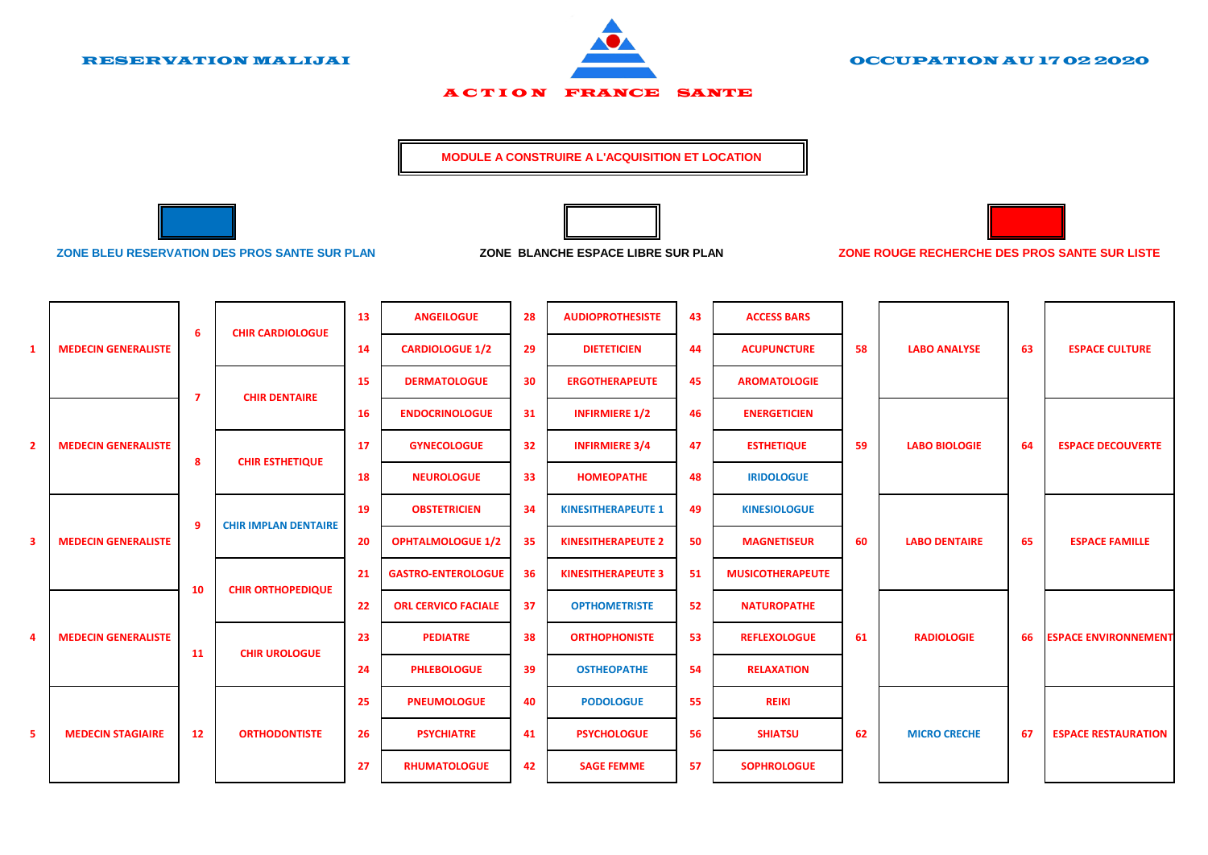

RESERVATION MALIJAI OCCUPATION AU 17 02 2020

**ACTION FRANCE SANTE** 

**MODULE A CONSTRUIRE A L'ACQUISITION ET LOCATION** 





**ZONE BLEU RESERVATION DES PROS SANTE SUR PLAN ZONE BLANCHE ESPACE LIBRE SUR PLAN ZONE ROUGE RECHERCHE DES PROS SANTE SUR LISTE**

|                |                            | -6             | <b>CHIR CARDIOLOGUE</b>     | 13        | <b>ANGEILOGUE</b>          | 28 | <b>AUDIOPROTHESISTE</b>   | 43  | <b>ACCESS BARS</b>      |    |                      |    |                             |
|----------------|----------------------------|----------------|-----------------------------|-----------|----------------------------|----|---------------------------|-----|-------------------------|----|----------------------|----|-----------------------------|
| $\mathbf{1}$   | <b>MEDECIN GENERALISTE</b> |                |                             | 14        | <b>CARDIOLOGUE 1/2</b>     | 29 | <b>DIETETICIEN</b>        | -44 | <b>ACUPUNCTURE</b>      | 58 | <b>LABO ANALYSE</b>  | 63 | <b>ESPACE CULTURE</b>       |
|                |                            | $\overline{7}$ | <b>CHIR DENTAIRE</b>        | 15        | <b>DERMATOLOGUE</b>        | 30 | <b>ERGOTHERAPEUTE</b>     | 45  | <b>AROMATOLOGIE</b>     |    |                      |    |                             |
| $\overline{2}$ | <b>MEDECIN GENERALISTE</b> |                |                             | <b>16</b> | <b>ENDOCRINOLOGUE</b>      | 31 | <b>INFIRMIERE 1/2</b>     | 46  | <b>ENERGETICIEN</b>     |    |                      |    |                             |
|                |                            | 8              | <b>CHIR ESTHETIQUE</b>      | 17        | <b>GYNECOLOGUE</b>         | 32 | <b>INFIRMIERE 3/4</b>     | 47  | <b>ESTHETIQUE</b>       | 59 | <b>LABO BIOLOGIE</b> | 64 | <b>ESPACE DECOUVERTE</b>    |
|                |                            |                |                             | 18        | <b>NEUROLOGUE</b>          | 33 | <b>HOMEOPATHE</b>         | 48  | <b>IRIDOLOGUE</b>       |    |                      |    |                             |
|                |                            | -9             | <b>CHIR IMPLAN DENTAIRE</b> | 19        | <b>OBSTETRICIEN</b>        | 34 | <b>KINESITHERAPEUTE 1</b> | 49  | <b>KINESIOLOGUE</b>     |    |                      |    |                             |
| 3              | <b>MEDECIN GENERALISTE</b> |                |                             | 20        | <b>OPHTALMOLOGUE 1/2</b>   | 35 | <b>KINESITHERAPEUTE 2</b> | 50  | <b>MAGNETISEUR</b>      | 60 | <b>LABO DENTAIRE</b> | 65 | <b>ESPACE FAMILLE</b>       |
|                |                            | 10             | <b>CHIR ORTHOPEDIQUE</b>    | 21        | <b>GASTRO-ENTEROLOGUE</b>  | 36 | <b>KINESITHERAPEUTE 3</b> | 51  | <b>MUSICOTHERAPEUTE</b> |    |                      |    |                             |
|                |                            |                |                             | 22        | <b>ORL CERVICO FACIALE</b> | 37 | <b>OPTHOMETRISTE</b>      | 52  | <b>NATUROPATHE</b>      |    |                      |    |                             |
| 4              | <b>MEDECIN GENERALISTE</b> | 11             | <b>CHIR UROLOGUE</b>        | 23        | <b>PEDIATRE</b>            | 38 | <b>ORTHOPHONISTE</b>      | 53  | <b>REFLEXOLOGUE</b>     | 61 | <b>RADIOLOGIE</b>    | 66 | <b>ESPACE ENVIRONNEMENT</b> |
|                |                            |                |                             | 24        | <b>PHLEBOLOGUE</b>         | 39 | <b>OSTHEOPATHE</b>        | 54  | <b>RELAXATION</b>       |    |                      |    |                             |
| 5              | <b>MEDECIN STAGIAIRE</b>   | 12             | <b>ORTHODONTISTE</b>        | 25        | <b>PNEUMOLOGUE</b>         | 40 | <b>PODOLOGUE</b>          | 55  | <b>REIKI</b>            |    |                      |    |                             |
|                |                            |                |                             | 26        | <b>PSYCHIATRE</b>          | 41 | <b>PSYCHOLOGUE</b>        | 56  | <b>SHIATSU</b>          | 62 | <b>MICRO CRECHE</b>  | 67 | <b>ESPACE RESTAURATION</b>  |
|                |                            |                |                             | 27        | <b>RHUMATOLOGUE</b>        | 42 | <b>SAGE FEMME</b>         | 57  | <b>SOPHROLOGUE</b>      |    |                      |    |                             |